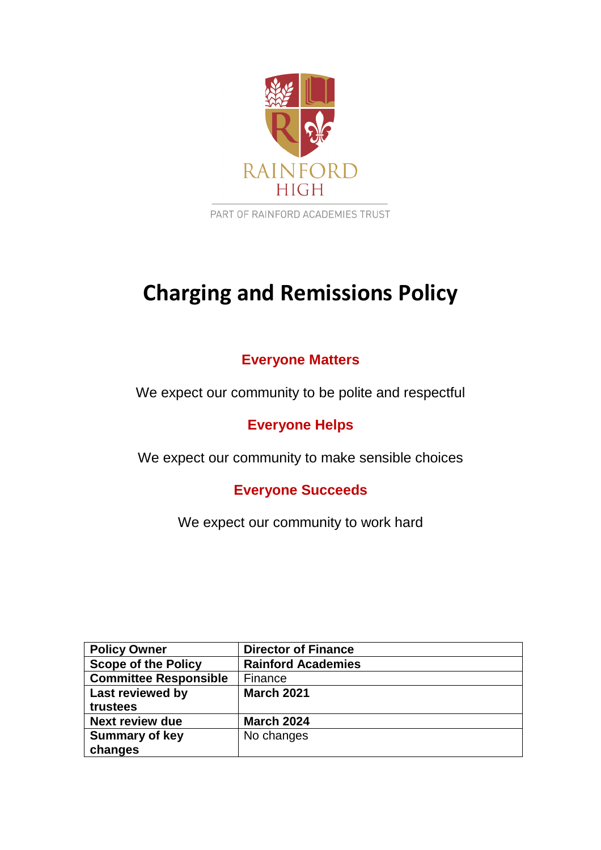

PART OF RAINFORD ACADEMIES TRUST

# **Charging and Remissions Policy**

## **Everyone Matters**

We expect our community to be polite and respectful

**Everyone Helps**

We expect our community to make sensible choices

**Everyone Succeeds**

We expect our community to work hard

| <b>Policy Owner</b>          | <b>Director of Finance</b> |  |  |
|------------------------------|----------------------------|--|--|
| <b>Scope of the Policy</b>   | <b>Rainford Academies</b>  |  |  |
| <b>Committee Responsible</b> | Finance                    |  |  |
| Last reviewed by             | <b>March 2021</b>          |  |  |
| trustees                     |                            |  |  |
| <b>Next review due</b>       | <b>March 2024</b>          |  |  |
| <b>Summary of key</b>        | No changes                 |  |  |
| changes                      |                            |  |  |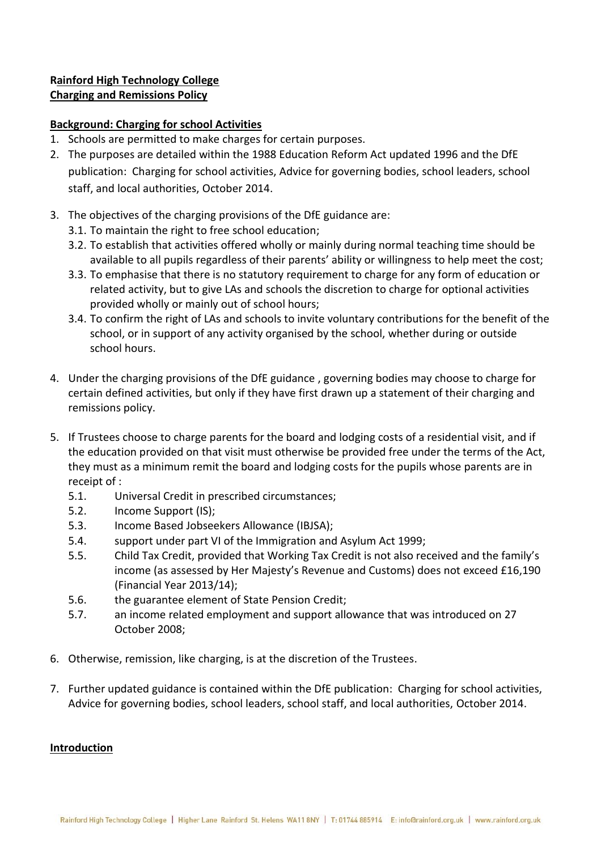## **Rainford High Technology College Charging and Remissions Policy**

## **Background: Charging for school Activities**

- 1. Schools are permitted to make charges for certain purposes.
- 2. The purposes are detailed within the 1988 Education Reform Act updated 1996 and the DfE publication: Charging for school activities, Advice for governing bodies, school leaders, school staff, and local authorities, October 2014.
- 3. The objectives of the charging provisions of the DfE guidance are:
	- 3.1. To maintain the right to free school education;
	- 3.2. To establish that activities offered wholly or mainly during normal teaching time should be available to all pupils regardless of their parents' ability or willingness to help meet the cost;
	- 3.3. To emphasise that there is no statutory requirement to charge for any form of education or related activity, but to give LAs and schools the discretion to charge for optional activities provided wholly or mainly out of school hours;
	- 3.4. To confirm the right of LAs and schools to invite voluntary contributions for the benefit of the school, or in support of any activity organised by the school, whether during or outside school hours.
- 4. Under the charging provisions of the DfE guidance , governing bodies may choose to charge for certain defined activities, but only if they have first drawn up a statement of their charging and remissions policy.
- 5. If Trustees choose to charge parents for the board and lodging costs of a residential visit, and if the education provided on that visit must otherwise be provided free under the terms of the Act, they must as a minimum remit the board and lodging costs for the pupils whose parents are in receipt of :
	- 5.1. Universal Credit in prescribed circumstances;
	- 5.2. Income Support (IS);
	- 5.3. Income Based Jobseekers Allowance (IBJSA);
	- 5.4. support under part VI of the Immigration and Asylum Act 1999;
	- 5.5. Child Tax Credit, provided that Working Tax Credit is not also received and the family's income (as assessed by Her Majesty's Revenue and Customs) does not exceed £16,190 (Financial Year 2013/14);
	- 5.6. the guarantee element of State Pension Credit;
	- 5.7. an income related employment and support allowance that was introduced on 27 October 2008;
- 6. Otherwise, remission, like charging, is at the discretion of the Trustees.
- 7. Further updated guidance is contained within the DfE publication: Charging for school activities, Advice for governing bodies, school leaders, school staff, and local authorities, October 2014.

## **Introduction**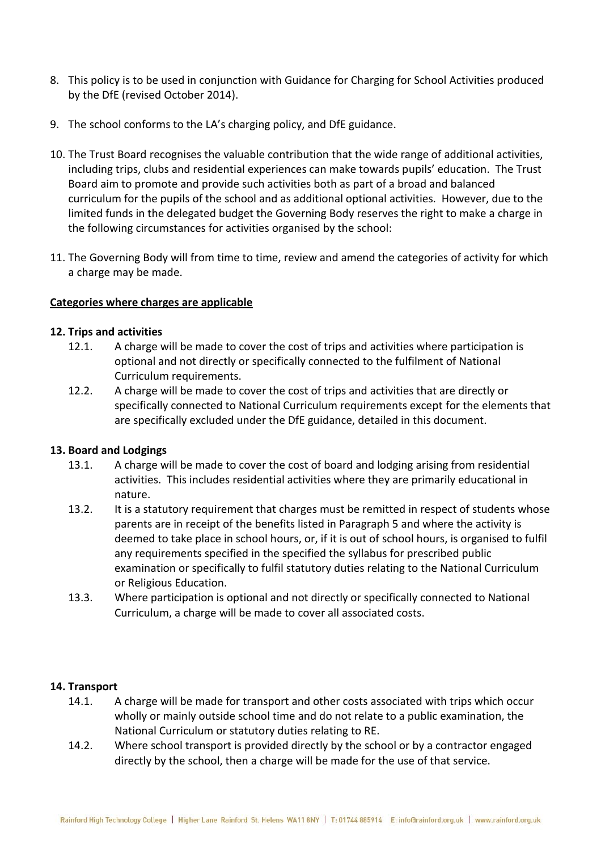- 8. This policy is to be used in conjunction with Guidance for Charging for School Activities produced by the DfE (revised October 2014).
- 9. The school conforms to the LA's charging policy, and DfE guidance.
- 10. The Trust Board recognises the valuable contribution that the wide range of additional activities, including trips, clubs and residential experiences can make towards pupils' education. The Trust Board aim to promote and provide such activities both as part of a broad and balanced curriculum for the pupils of the school and as additional optional activities. However, due to the limited funds in the delegated budget the Governing Body reserves the right to make a charge in the following circumstances for activities organised by the school:
- 11. The Governing Body will from time to time, review and amend the categories of activity for which a charge may be made.

## **Categories where charges are applicable**

#### **12. Trips and activities**

- 12.1. A charge will be made to cover the cost of trips and activities where participation is optional and not directly or specifically connected to the fulfilment of National Curriculum requirements.
- 12.2. A charge will be made to cover the cost of trips and activities that are directly or specifically connected to National Curriculum requirements except for the elements that are specifically excluded under the DfE guidance, detailed in this document.

## **13. Board and Lodgings**

- 13.1. A charge will be made to cover the cost of board and lodging arising from residential activities. This includes residential activities where they are primarily educational in nature.
- 13.2. It is a statutory requirement that charges must be remitted in respect of students whose parents are in receipt of the benefits listed in Paragraph 5 and where the activity is deemed to take place in school hours, or, if it is out of school hours, is organised to fulfil any requirements specified in the specified the syllabus for prescribed public examination or specifically to fulfil statutory duties relating to the National Curriculum or Religious Education.
- 13.3. Where participation is optional and not directly or specifically connected to National Curriculum, a charge will be made to cover all associated costs.

#### **14. Transport**

- 14.1. A charge will be made for transport and other costs associated with trips which occur wholly or mainly outside school time and do not relate to a public examination, the National Curriculum or statutory duties relating to RE.
- 14.2. Where school transport is provided directly by the school or by a contractor engaged directly by the school, then a charge will be made for the use of that service.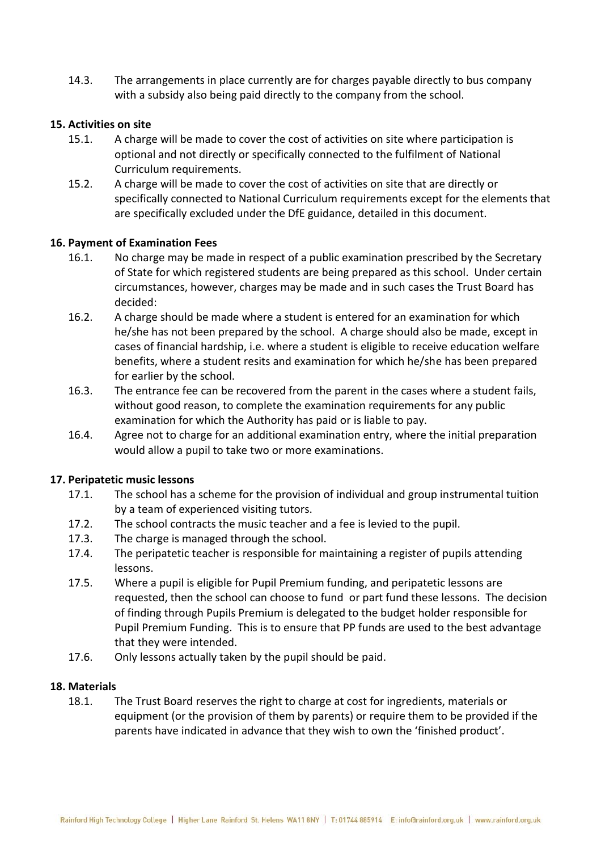14.3. The arrangements in place currently are for charges payable directly to bus company with a subsidy also being paid directly to the company from the school.

#### **15. Activities on site**

- 15.1. A charge will be made to cover the cost of activities on site where participation is optional and not directly or specifically connected to the fulfilment of National Curriculum requirements.
- 15.2. A charge will be made to cover the cost of activities on site that are directly or specifically connected to National Curriculum requirements except for the elements that are specifically excluded under the DfE guidance, detailed in this document.

#### **16. Payment of Examination Fees**

- 16.1. No charge may be made in respect of a public examination prescribed by the Secretary of State for which registered students are being prepared as this school. Under certain circumstances, however, charges may be made and in such cases the Trust Board has decided:
- 16.2. A charge should be made where a student is entered for an examination for which he/she has not been prepared by the school. A charge should also be made, except in cases of financial hardship, i.e. where a student is eligible to receive education welfare benefits, where a student resits and examination for which he/she has been prepared for earlier by the school.
- 16.3. The entrance fee can be recovered from the parent in the cases where a student fails, without good reason, to complete the examination requirements for any public examination for which the Authority has paid or is liable to pay.
- 16.4. Agree not to charge for an additional examination entry, where the initial preparation would allow a pupil to take two or more examinations.

#### **17. Peripatetic music lessons**

- 17.1. The school has a scheme for the provision of individual and group instrumental tuition by a team of experienced visiting tutors.
- 17.2. The school contracts the music teacher and a fee is levied to the pupil.
- 17.3. The charge is managed through the school.
- 17.4. The peripatetic teacher is responsible for maintaining a register of pupils attending lessons.
- 17.5. Where a pupil is eligible for Pupil Premium funding, and peripatetic lessons are requested, then the school can choose to fund or part fund these lessons. The decision of finding through Pupils Premium is delegated to the budget holder responsible for Pupil Premium Funding. This is to ensure that PP funds are used to the best advantage that they were intended.
- 17.6. Only lessons actually taken by the pupil should be paid.

#### **18. Materials**

18.1. The Trust Board reserves the right to charge at cost for ingredients, materials or equipment (or the provision of them by parents) or require them to be provided if the parents have indicated in advance that they wish to own the 'finished product'.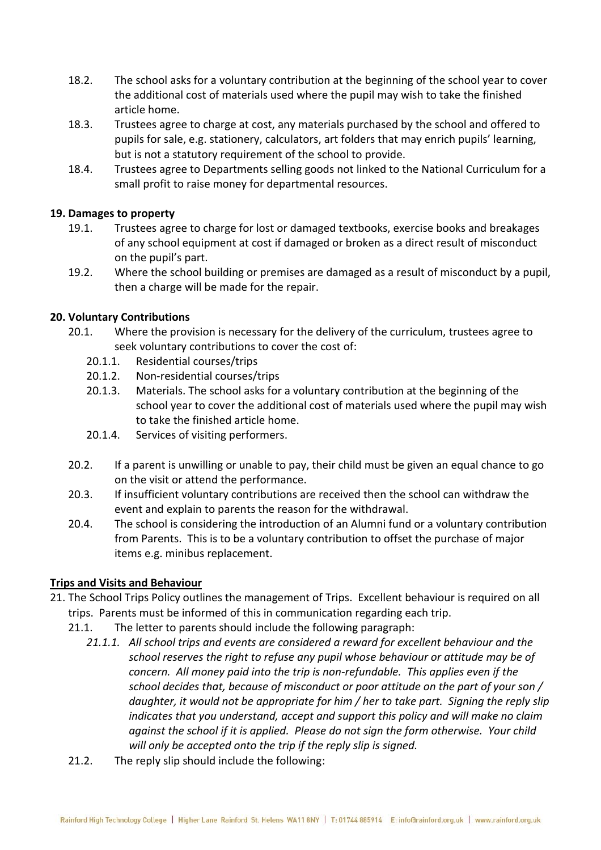- 18.2. The school asks for a voluntary contribution at the beginning of the school year to cover the additional cost of materials used where the pupil may wish to take the finished article home.
- 18.3. Trustees agree to charge at cost, any materials purchased by the school and offered to pupils for sale, e.g. stationery, calculators, art folders that may enrich pupils' learning, but is not a statutory requirement of the school to provide.
- 18.4. Trustees agree to Departments selling goods not linked to the National Curriculum for a small profit to raise money for departmental resources.

## **19. Damages to property**

- 19.1. Trustees agree to charge for lost or damaged textbooks, exercise books and breakages of any school equipment at cost if damaged or broken as a direct result of misconduct on the pupil's part.
- 19.2. Where the school building or premises are damaged as a result of misconduct by a pupil, then a charge will be made for the repair.

## **20. Voluntary Contributions**

- 20.1. Where the provision is necessary for the delivery of the curriculum, trustees agree to seek voluntary contributions to cover the cost of:
	- 20.1.1. Residential courses/trips
	- 20.1.2. Non-residential courses/trips
	- 20.1.3. Materials. The school asks for a voluntary contribution at the beginning of the school year to cover the additional cost of materials used where the pupil may wish to take the finished article home.
	- 20.1.4. Services of visiting performers.
- 20.2. If a parent is unwilling or unable to pay, their child must be given an equal chance to go on the visit or attend the performance.
- 20.3. If insufficient voluntary contributions are received then the school can withdraw the event and explain to parents the reason for the withdrawal.
- 20.4. The school is considering the introduction of an Alumni fund or a voluntary contribution from Parents. This is to be a voluntary contribution to offset the purchase of major items e.g. minibus replacement.

## **Trips and Visits and Behaviour**

- 21. The School Trips Policy outlines the management of Trips. Excellent behaviour is required on all trips. Parents must be informed of this in communication regarding each trip.
	- 21.1. The letter to parents should include the following paragraph:
		- *21.1.1. All school trips and events are considered a reward for excellent behaviour and the school reserves the right to refuse any pupil whose behaviour or attitude may be of concern. All money paid into the trip is non-refundable. This applies even if the school decides that, because of misconduct or poor attitude on the part of your son / daughter, it would not be appropriate for him / her to take part. Signing the reply slip indicates that you understand, accept and support this policy and will make no claim against the school if it is applied. Please do not sign the form otherwise. Your child will only be accepted onto the trip if the reply slip is signed.*
	- 21.2. The reply slip should include the following: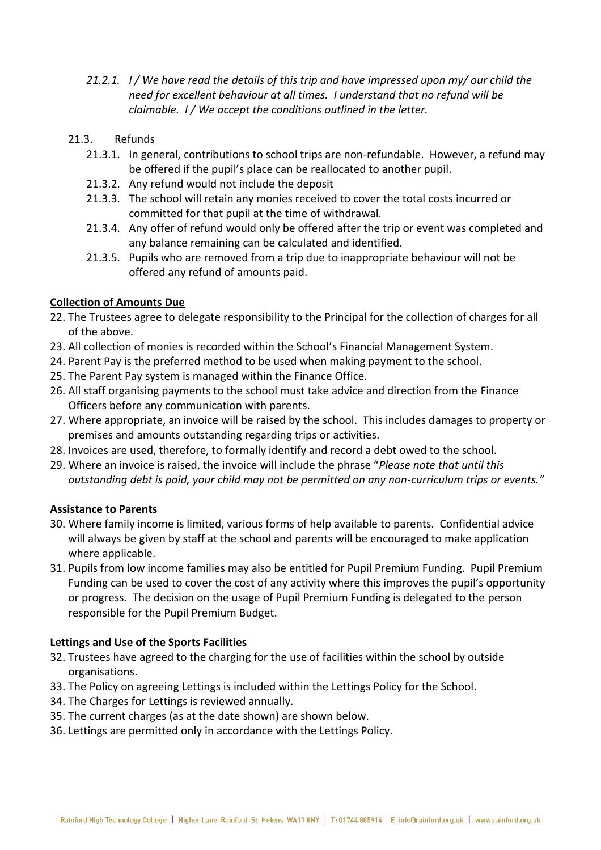- *21.2.1. I / We have read the details of this trip and have impressed upon my/ our child the need for excellent behaviour at all times. I understand that no refund will be claimable. I / We accept the conditions outlined in the letter.*
- 21.3. Refunds
	- 21.3.1. In general, contributions to school trips are non-refundable. However, a refund may be offered if the pupil's place can be reallocated to another pupil.
	- 21.3.2. Any refund would not include the deposit
	- 21.3.3. The school will retain any monies received to cover the total costs incurred or committed for that pupil at the time of withdrawal.
	- 21.3.4. Any offer of refund would only be offered after the trip or event was completed and any balance remaining can be calculated and identified.
	- 21.3.5. Pupils who are removed from a trip due to inappropriate behaviour will not be offered any refund of amounts paid.

## **Collection of Amounts Due**

- 22. The Trustees agree to delegate responsibility to the Principal for the collection of charges for all of the above.
- 23. All collection of monies is recorded within the School's Financial Management System.
- 24. Parent Pay is the preferred method to be used when making payment to the school.
- 25. The Parent Pay system is managed within the Finance Office.
- 26. All staff organising payments to the school must take advice and direction from the Finance Officers before any communication with parents.
- 27. Where appropriate, an invoice will be raised by the school. This includes damages to property or premises and amounts outstanding regarding trips or activities.
- 28. Invoices are used, therefore, to formally identify and record a debt owed to the school.
- 29. Where an invoice is raised, the invoice will include the phrase "*Please note that until this outstanding debt is paid, your child may not be permitted on any non-curriculum trips or events."*

## **Assistance to Parents**

- 30. Where family income is limited, various forms of help available to parents. Confidential advice will always be given by staff at the school and parents will be encouraged to make application where applicable.
- 31. Pupils from low income families may also be entitled for Pupil Premium Funding. Pupil Premium Funding can be used to cover the cost of any activity where this improves the pupil's opportunity or progress. The decision on the usage of Pupil Premium Funding is delegated to the person responsible for the Pupil Premium Budget.

## **Lettings and Use of the Sports Facilities**

- 32. Trustees have agreed to the charging for the use of facilities within the school by outside organisations.
- 33. The Policy on agreeing Lettings is included within the Lettings Policy for the School.
- 34. The Charges for Lettings is reviewed annually.
- 35. The current charges (as at the date shown) are shown below.
- 36. Lettings are permitted only in accordance with the Lettings Policy.